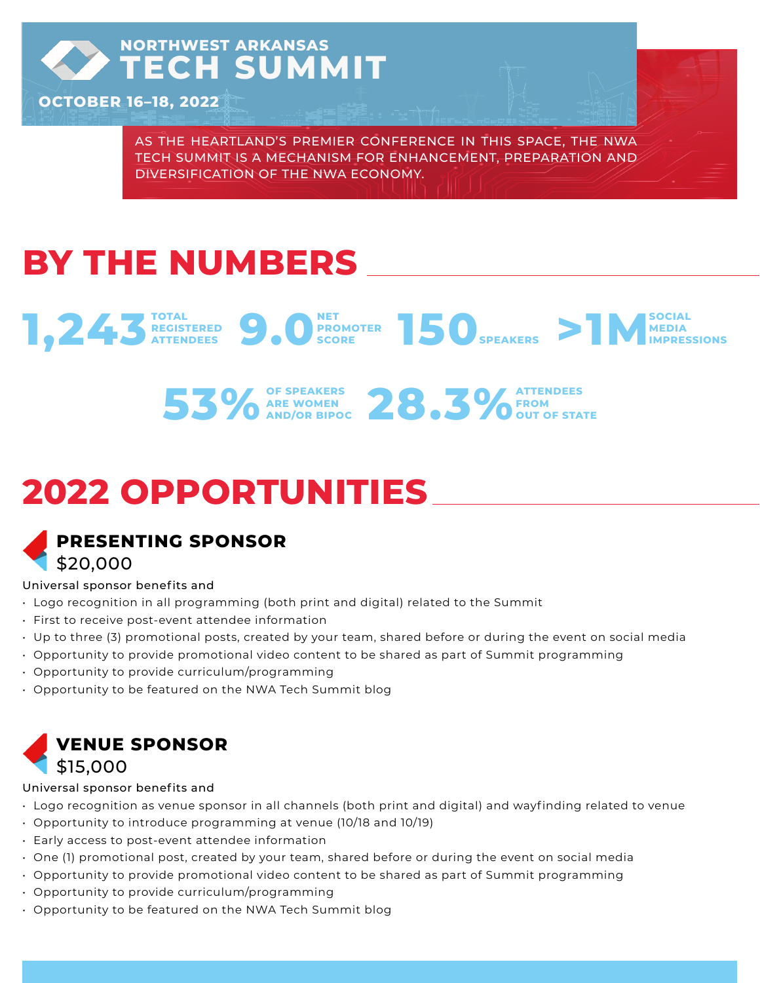

**OCTOBER 16–18, 2022**

AS THE HEARTLAND'S PREMIER CONFERENCE IN THIS SPACE, THE NWA TECH SUMMIT IS A MECHANISM FOR ENHANCEMENT, PREPARATION AND DIVERSIFICATION OF THE NWA ECONOMY.

# **BY THE NUMBERS**











# **2022 OPPORTUNITIES**



#### Universal sponsor benefits and

- Logo recognition in all programming (both print and digital) related to the Summit
- First to receive post-event attendee information
- Up to three (3) promotional posts, created by your team, shared before or during the event on social media
- Opportunity to provide promotional video content to be shared as part of Summit programming
- Opportunity to provide curriculum/programming
- Opportunity to be featured on the NWA Tech Summit blog



#### Universal sponsor benefits and

- Logo recognition as venue sponsor in all channels (both print and digital) and wayfinding related to venue
- Opportunity to introduce programming at venue (10/18 and 10/19)
- Early access to post-event attendee information
- One (1) promotional post, created by your team, shared before or during the event on social media
- Opportunity to provide promotional video content to be shared as part of Summit programming
- Opportunity to provide curriculum/programming
- Opportunity to be featured on the NWA Tech Summit blog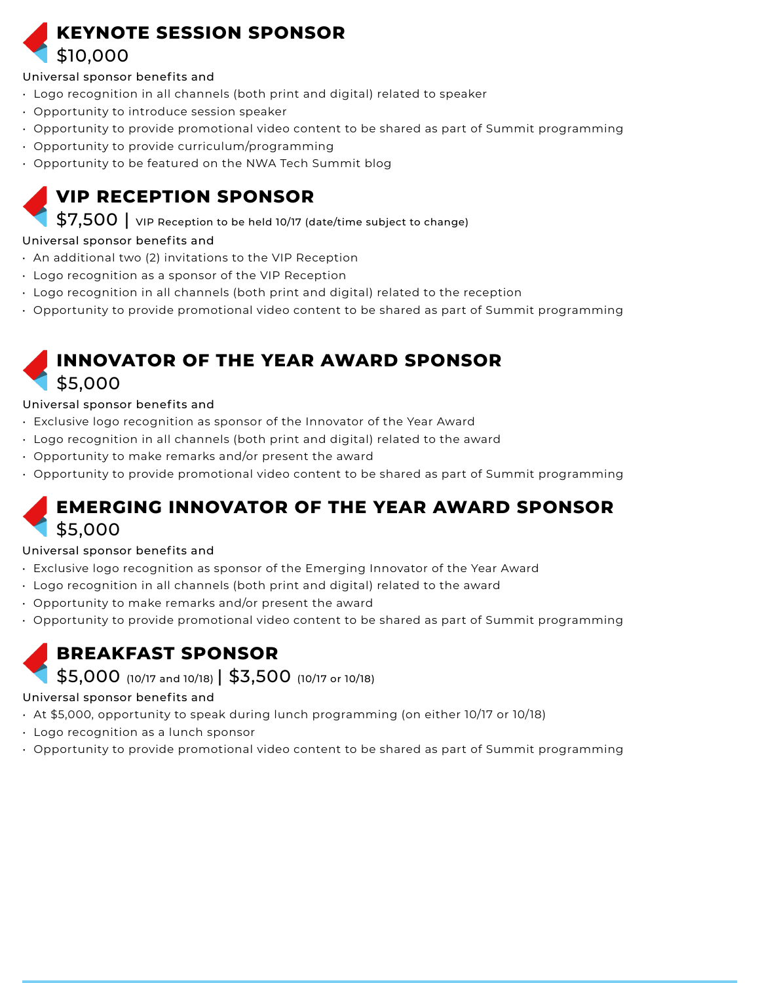## **KEYNOTE SESSION SPONSOR** \$10,000

#### Universal sponsor benefits and

- Logo recognition in all channels (both print and digital) related to speaker
- Opportunity to introduce session speaker
- Opportunity to provide promotional video content to be shared as part of Summit programming
- Opportunity to provide curriculum/programming
- Opportunity to be featured on the NWA Tech Summit blog

### **VIP RECEPTION SPONSOR**

\$7,500 | VIP Reception to be held 10/17 (date/time subject to change)

#### Universal sponsor benefits and

- An additional two (2) invitations to the VIP Reception
- Logo recognition as a sponsor of the VIP Reception
- Logo recognition in all channels (both print and digital) related to the reception
- Opportunity to provide promotional video content to be shared as part of Summit programming

### **INNOVATOR OF THE YEAR AWARD SPONSOR** \$5,000

#### Universal sponsor benefits and

- Exclusive logo recognition as sponsor of the Innovator of the Year Award
- Logo recognition in all channels (both print and digital) related to the award
- Opportunity to make remarks and/or present the award
- Opportunity to provide promotional video content to be shared as part of Summit programming

### **EMERGING INNOVATOR OF THE YEAR AWARD SPONSOR** \$5,000

#### Universal sponsor benefits and

- Exclusive logo recognition as sponsor of the Emerging Innovator of the Year Award
- Logo recognition in all channels (both print and digital) related to the award
- Opportunity to make remarks and/or present the award
- Opportunity to provide promotional video content to be shared as part of Summit programming

## **BREAKFAST SPONSOR**

\$5,000 (10/17 and 10/18) | \$3,500 (10/17 or 10/18)

#### Universal sponsor benefits and

- At \$5,000, opportunity to speak during lunch programming (on either 10/17 or 10/18)
- Logo recognition as a lunch sponsor
- Opportunity to provide promotional video content to be shared as part of Summit programming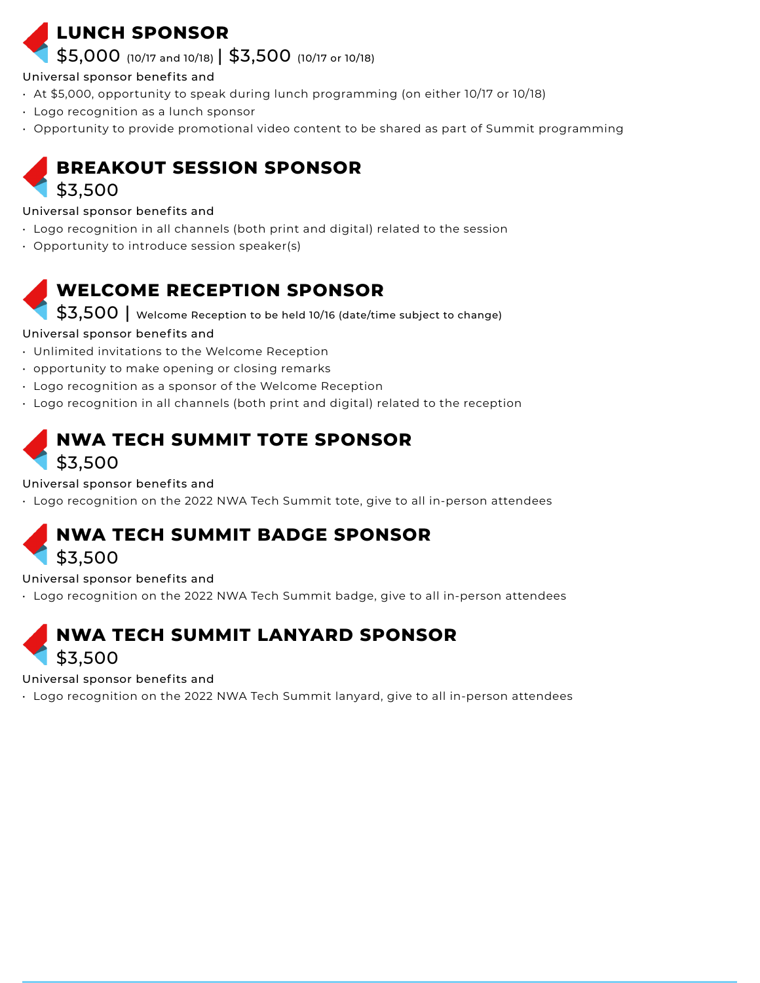## **LUNCH SPONSOR**

### \$5,000 (10/17 and 10/18) | \$3,500 (10/17 or 10/18)

### Universal sponsor benefits and

- At \$5,000, opportunity to speak during lunch programming (on either 10/17 or 10/18)
- Logo recognition as a lunch sponsor
- Opportunity to provide promotional video content to be shared as part of Summit programming

## **BREAKOUT SESSION SPONSOR** \$3,500

#### Universal sponsor benefits and

- Logo recognition in all channels (both print and digital) related to the session
- Opportunity to introduce session speaker(s)

# **WELCOME RECEPTION SPONSOR**

\$3,500 | Welcome Reception to be held 10/16 (date/time subject to change)

### Universal sponsor benefits and

- Unlimited invitations to the Welcome Reception
- opportunity to make opening or closing remarks
- Logo recognition as a sponsor of the Welcome Reception
- Logo recognition in all channels (both print and digital) related to the reception

# **NWA TECH SUMMIT TOTE SPONSOR** \$3,500

### Universal sponsor benefits and

• Logo recognition on the 2022 NWA Tech Summit tote, give to all in-person attendees

# **NWA TECH SUMMIT BADGE SPONSOR** \$3,500

### Universal sponsor benefits and

• Logo recognition on the 2022 NWA Tech Summit badge, give to all in-person attendees

# **NWA TECH SUMMIT LANYARD SPONSOR** \$3,500

#### Universal sponsor benefits and

• Logo recognition on the 2022 NWA Tech Summit lanyard, give to all in-person attendees